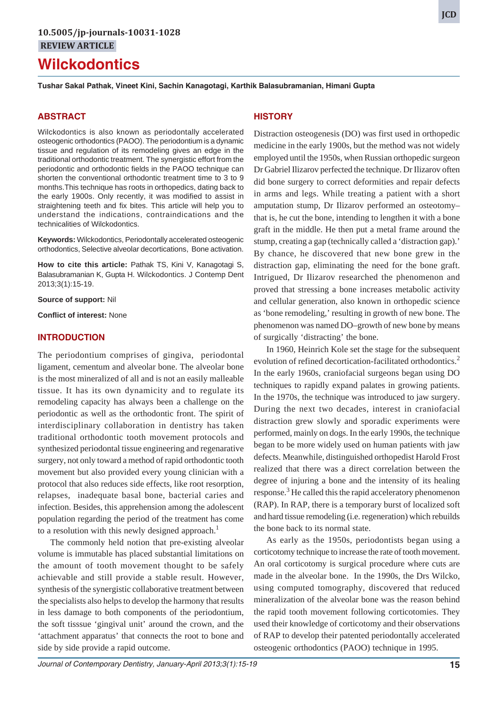# **Wilckodontics**

**Tushar Sakal Pathak, Vineet Kini, Sachin Kanagotagi, Karthik Balasubramanian, Himani Gupta**

## **ABSTRACT**

Wilckodontics is also known as periodontally accelerated osteogenic orthodontics (PAOO). The periodontium is a dynamic tissue and regulation of its remodeling gives an edge in the traditional orthodontic treatment. The synergistic effort from the periodontic and orthodontic fields in the PAOO technique can shorten the conventional orthodontic treatment time to 3 to 9 months.This technique has roots in orthopedics, dating back to the early 1900s. Only recently, it was modified to assist in straightening teeth and fix bites. This article will help you to understand the indications, contraindications and the technicalities of Wilckodontics.

**Keywords:** Wilckodontics, Periodontally accelerated osteogenic orthodontics, Selective alveolar decortications, Bone activation.

**How to cite this article:** Pathak TS, Kini V, Kanagotagi S, Balasubramanian K, Gupta H. Wilckodontics. J Contemp Dent 2013;3(1):15-19.

**Source of support:** Nil

**Conflict of interest:** None

## **INTRODUCTION**

The periodontium comprises of gingiva, periodontal ligament, cementum and alveolar bone. The alveolar bone is the most mineralized of all and is not an easily malleable tissue. It has its own dynamicity and to regulate its remodeling capacity has always been a challenge on the periodontic as well as the orthodontic front. The spirit of interdisciplinary collaboration in dentistry has taken traditional orthodontic tooth movement protocols and synthesized periodontal tissue engineering and regenarative surgery, not only toward a method of rapid orthodontic tooth movement but also provided every young clinician with a protocol that also reduces side effects, like root resorption, relapses, inadequate basal bone, bacterial caries and infection. Besides, this apprehension among the adolescent population regarding the period of the treatment has come to a resolution with this newly designed approach.<sup>1</sup>

The commonly held notion that pre-existing alveolar volume is immutable has placed substantial limitations on the amount of tooth movement thought to be safely achievable and still provide a stable result. However, synthesis of the synergistic collaborative treatment between the specialists also helps to develop the harmony that results in less damage to both components of the periodontium, the soft tisssue 'gingival unit' around the crown, and the 'attachment apparatus' that connects the root to bone and side by side provide a rapid outcome.

## **HISTORY**

Distraction osteogenesis (DO) was first used in orthopedic medicine in the early 1900s, but the method was not widely employed until the 1950s, when Russian orthopedic surgeon Dr Gabriel Ilizarov perfected the technique. Dr Ilizarov often did bone surgery to correct deformities and repair defects in arms and legs. While treating a patient with a short amputation stump, Dr Ilizarov performed an osteotomy– that is, he cut the bone, intending to lengthen it with a bone graft in the middle. He then put a metal frame around the stump, creating a gap (technically called a 'distraction gap).' By chance, he discovered that new bone grew in the distraction gap, eliminating the need for the bone graft. Intrigued, Dr Ilizarov researched the phenomenon and proved that stressing a bone increases metabolic activity and cellular generation, also known in orthopedic science as 'bone remodeling,' resulting in growth of new bone. The phenomenon was named DO–growth of new bone by means of surgically 'distracting' the bone.

In 1960, Heinrich Kole set the stage for the subsequent evolution of refined decortication-facilitated orthodontics.<sup>2</sup> In the early 1960s, craniofacial surgeons began using DO techniques to rapidly expand palates in growing patients. In the 1970s, the technique was introduced to jaw surgery. During the next two decades, interest in craniofacial distraction grew slowly and sporadic experiments were performed, mainly on dogs. In the early 1990s, the technique began to be more widely used on human patients with jaw defects. Meanwhile, distinguished orthopedist Harold Frost realized that there was a direct correlation between the degree of injuring a bone and the intensity of its healing response.<sup>3</sup> He called this the rapid acceleratory phenomenon (RAP). In RAP, there is a temporary burst of localized soft and hard tissue remodeling (i.e. regeneration) which rebuilds the bone back to its normal state.

As early as the 1950s, periodontists began using a corticotomy technique to increase the rate of tooth movement. An oral corticotomy is surgical procedure where cuts are made in the alveolar bone. In the 1990s, the Drs Wilcko, using computed tomography, discovered that reduced mineralization of the alveolar bone was the reason behind the rapid tooth movement following corticotomies. They used their knowledge of corticotomy and their observations of RAP to develop their patented periodontally accelerated osteogenic orthodontics (PAOO) technique in 1995.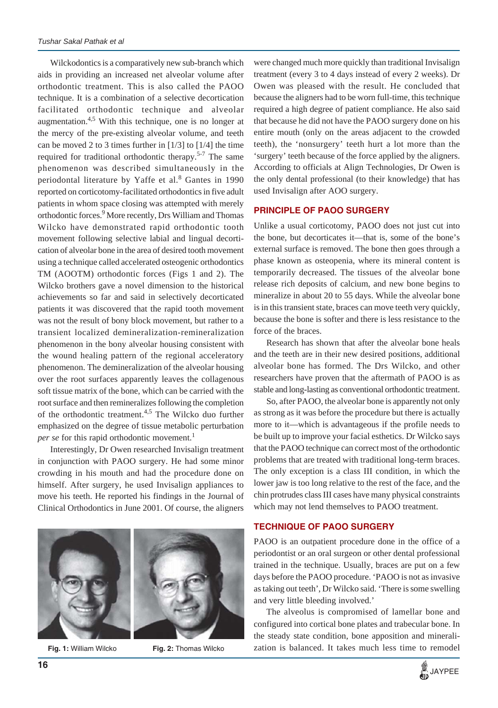Wilckodontics is a comparatively new sub-branch which aids in providing an increased net alveolar volume after orthodontic treatment. This is also called the PAOO technique. It is a combination of a selective decortication facilitated orthodontic technique and alveolar augmentation. $4.5$  With this technique, one is no longer at the mercy of the pre-existing alveolar volume, and teeth can be moved 2 to 3 times further in  $[1/3]$  to  $[1/4]$  the time required for traditional orthodontic therapy.<sup>5-7</sup> The same phenomenon was described simultaneously in the periodontal literature by Yaffe et al.<sup>8</sup> Gantes in 1990 reported on corticotomy-facilitated orthodontics in five adult patients in whom space closing was attempted with merely orthodontic forces.<sup>9</sup> More recently, Drs William and Thomas Wilcko have demonstrated rapid orthodontic tooth movement following selective labial and lingual decortication of alveolar bone in the area of desired tooth movement using a technique called accelerated osteogenic orthodontics TM (AOOTM) orthodontic forces (Figs 1 and 2). The Wilcko brothers gave a novel dimension to the historical achievements so far and said in selectively decorticated patients it was discovered that the rapid tooth movement was not the result of bony block movement, but rather to a transient localized demineralization-remineralization phenomenon in the bony alveolar housing consistent with the wound healing pattern of the regional acceleratory phenomenon. The demineralization of the alveolar housing over the root surfaces apparently leaves the collagenous soft tissue matrix of the bone, which can be carried with the root surface and then remineralizes following the completion of the orthodontic treatment.4,5 The Wilcko duo further emphasized on the degree of tissue metabolic perturbation *per se* for this rapid orthodontic movement.<sup>1</sup>

Interestingly, Dr Owen researched Invisalign treatment in conjunction with PAOO surgery. He had some minor crowding in his mouth and had the procedure done on himself. After surgery, he used Invisalign appliances to move his teeth. He reported his findings in the Journal of Clinical Orthodontics in June 2001. Of course, the aligners



were changed much more quickly than traditional Invisalign treatment (every 3 to 4 days instead of every 2 weeks). Dr Owen was pleased with the result. He concluded that because the aligners had to be worn full-time, this technique required a high degree of patient compliance. He also said that because he did not have the PAOO surgery done on his entire mouth (only on the areas adjacent to the crowded teeth), the 'nonsurgery' teeth hurt a lot more than the 'surgery' teeth because of the force applied by the aligners. According to officials at Align Technologies, Dr Owen is the only dental professional (to their knowledge) that has used Invisalign after AOO surgery.

# **PRINCIPLE OF PAOO SURGERY**

Unlike a usual corticotomy, PAOO does not just cut into the bone, but decorticates it—that is, some of the bone's external surface is removed. The bone then goes through a phase known as osteopenia, where its mineral content is temporarily decreased. The tissues of the alveolar bone release rich deposits of calcium, and new bone begins to mineralize in about 20 to 55 days. While the alveolar bone is in this transient state, braces can move teeth very quickly, because the bone is softer and there is less resistance to the force of the braces.

Research has shown that after the alveolar bone heals and the teeth are in their new desired positions, additional alveolar bone has formed. The Drs Wilcko, and other researchers have proven that the aftermath of PAOO is as stable and long-lasting as conventional orthodontic treatment.

So, after PAOO, the alveolar bone is apparently not only as strong as it was before the procedure but there is actually more to it—which is advantageous if the profile needs to be built up to improve your facial esthetics. Dr Wilcko says that the PAOO technique can correct most of the orthodontic problems that are treated with traditional long-term braces. The only exception is a class III condition, in which the lower jaw is too long relative to the rest of the face, and the chin protrudes class III cases have many physical constraints which may not lend themselves to PAOO treatment.

# **TECHNIQUE OF PAOO SURGERY**

PAOO is an outpatient procedure done in the office of a periodontist or an oral surgeon or other dental professional trained in the technique. Usually, braces are put on a few days before the PAOO procedure. 'PAOO is not as invasive as taking out teeth', Dr Wilcko said. 'There is some swelling and very little bleeding involved.'

The alveolus is compromised of lamellar bone and configured into cortical bone plates and trabecular bone. In the steady state condition, bone apposition and minerali-**Fig. 1:** William Wilcko **Fig. 2:** Thomas Wilcko zation is balanced. It takes much less time to remodel

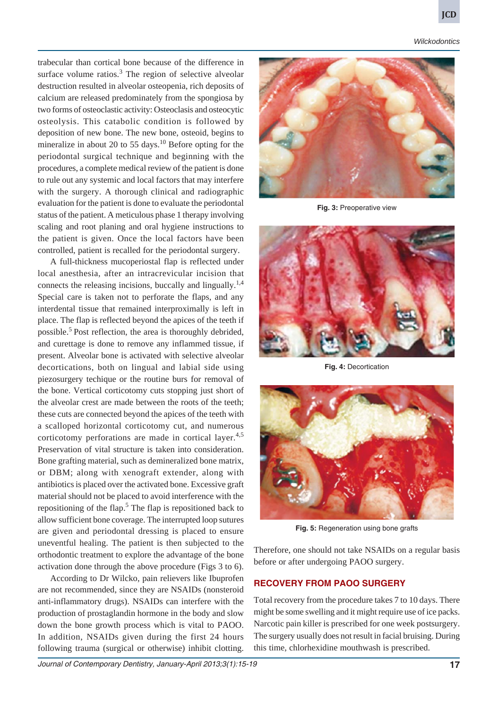*Wilckodontics*

trabecular than cortical bone because of the difference in surface volume ratios. $3$  The region of selective alveolar destruction resulted in alveolar osteopenia, rich deposits of calcium are released predominately from the spongiosa by two forms of osteoclastic activity: Osteoclasis and osteocytic osteolysis. This catabolic condition is followed by deposition of new bone. The new bone, osteoid, begins to mineralize in about 20 to 55 days.<sup>10</sup> Before opting for the periodontal surgical technique and beginning with the procedures, a complete medical review of the patient is done to rule out any systemic and local factors that may interfere with the surgery. A thorough clinical and radiographic evaluation for the patient is done to evaluate the periodontal status of the patient. A meticulous phase 1 therapy involving scaling and root planing and oral hygiene instructions to the patient is given. Once the local factors have been controlled, patient is recalled for the periodontal surgery.

A full-thickness mucoperiostal flap is reflected under local anesthesia, after an intracrevicular incision that connects the releasing incisions, buccally and lingually.<sup>1,4</sup> Special care is taken not to perforate the flaps, and any interdental tissue that remained interproximally is left in place. The flap is reflected beyond the apices of the teeth if possible.<sup>5</sup> Post reflection, the area is thoroughly debrided, and curettage is done to remove any inflammed tissue, if present. Alveolar bone is activated with selective alveolar decortications, both on lingual and labial side using piezosurgery techique or the routine burs for removal of the bone. Vertical corticotomy cuts stopping just short of the alveolar crest are made between the roots of the teeth; these cuts are connected beyond the apices of the teeth with a scalloped horizontal corticotomy cut, and numerous corticotomy perforations are made in cortical layer. $4.5$ Preservation of vital structure is taken into consideration. Bone grafting material, such as demineralized bone matrix, or DBM; along with xenograft extender, along with antibiotics is placed over the activated bone. Excessive graft material should not be placed to avoid interference with the repositioning of the flap.<sup>5</sup> The flap is repositioned back to allow sufficient bone coverage. The interrupted loop sutures are given and periodontal dressing is placed to ensure uneventful healing. The patient is then subjected to the orthodontic treatment to explore the advantage of the bone activation done through the above procedure (Figs 3 to 6).

According to Dr Wilcko, pain relievers like Ibuprofen are not recommended, since they are NSAIDs (nonsteroid anti-inflammatory drugs). NSAIDs can interfere with the production of prostaglandin hormone in the body and slow down the bone growth process which is vital to PAOO. In addition, NSAIDs given during the first 24 hours following trauma (surgical or otherwise) inhibit clotting.



**Fig. 3:** Preoperative view



**Fig. 4:** Decortication



**Fig. 5:** Regeneration using bone grafts

Therefore, one should not take NSAIDs on a regular basis before or after undergoing PAOO surgery.

## **RECOVERY FROM PAOO SURGERY**

Total recovery from the procedure takes 7 to 10 days. There might be some swelling and it might require use of ice packs. Narcotic pain killer is prescribed for one week postsurgery. The surgery usually does not result in facial bruising. During this time, chlorhexidine mouthwash is prescribed.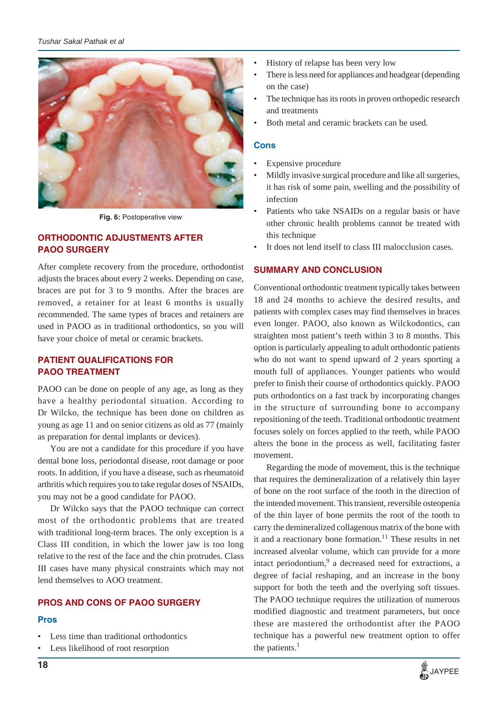

**Fig. 6:** Postoperative view

# **ORTHODONTIC ADJUSTMENTS AFTER PAOO SURGERY**

After complete recovery from the procedure, orthodontist adjusts the braces about every 2 weeks. Depending on case, braces are put for 3 to 9 months. After the braces are removed, a retainer for at least 6 months is usually recommended. The same types of braces and retainers are used in PAOO as in traditional orthodontics, so you will have your choice of metal or ceramic brackets.

# **PATIENT QUALIFICATIONS FOR PAOO TREATMENT**

PAOO can be done on people of any age, as long as they have a healthy periodontal situation. According to Dr Wilcko, the technique has been done on children as young as age 11 and on senior citizens as old as 77 (mainly as preparation for dental implants or devices).

You are not a candidate for this procedure if you have dental bone loss, periodontal disease, root damage or poor roots. In addition, if you have a disease, such as rheumatoid arthritis which requires you to take regular doses of NSAIDs, you may not be a good candidate for PAOO.

Dr Wilcko says that the PAOO technique can correct most of the orthodontic problems that are treated with traditional long-term braces. The only exception is a Class III condition, in which the lower jaw is too long relative to the rest of the face and the chin protrudes. Class III cases have many physical constraints which may not lend themselves to AOO treatment.

# **PROS AND CONS OF PAOO SURGERY**

# **Pros**

- Less time than traditional orthodontics
- Less likelihood of root resorption
- History of relapse has been very low
- There is less need for appliances and headgear (depending on the case)
- The technique has its roots in proven orthopedic research and treatments
- Both metal and ceramic brackets can be used.

## **Cons**

- Expensive procedure
- Mildly invasive surgical procedure and like all surgeries, it has risk of some pain, swelling and the possibility of infection
- Patients who take NSAIDs on a regular basis or have other chronic health problems cannot be treated with this technique
- It does not lend itself to class III malocclusion cases.

# **SUMMARY AND CONCLUSION**

Conventional orthodontic treatment typically takes between 18 and 24 months to achieve the desired results, and patients with complex cases may find themselves in braces even longer. PAOO, also known as Wilckodontics, can straighten most patient's teeth within 3 to 8 months. This option is particularly appealing to adult orthodontic patients who do not want to spend upward of 2 years sporting a mouth full of appliances. Younger patients who would prefer to finish their course of orthodontics quickly. PAOO puts orthodontics on a fast track by incorporating changes in the structure of surrounding bone to accompany repositioning of the teeth. Traditional orthodontic treatment focuses solely on forces applied to the teeth, while PAOO alters the bone in the process as well, facilitating faster movement.

Regarding the mode of movement, this is the technique that requires the demineralization of a relatively thin layer of bone on the root surface of the tooth in the direction of the intended movement. This transient, reversible osteopenia of the thin layer of bone permits the root of the tooth to carry the demineralized collagenous matrix of the bone with it and a reactionary bone formation.<sup>11</sup> These results in net increased alveolar volume, which can provide for a more intact periodontium,<sup>9</sup> a decreased need for extractions, a degree of facial reshaping, and an increase in the bony support for both the teeth and the overlying soft tissues. The PAOO technique requires the utilization of numerous modified diagnostic and treatment parameters, but once these are mastered the orthodontist after the PAOO technique has a powerful new treatment option to offer the patients. $<sup>1</sup>$ </sup>